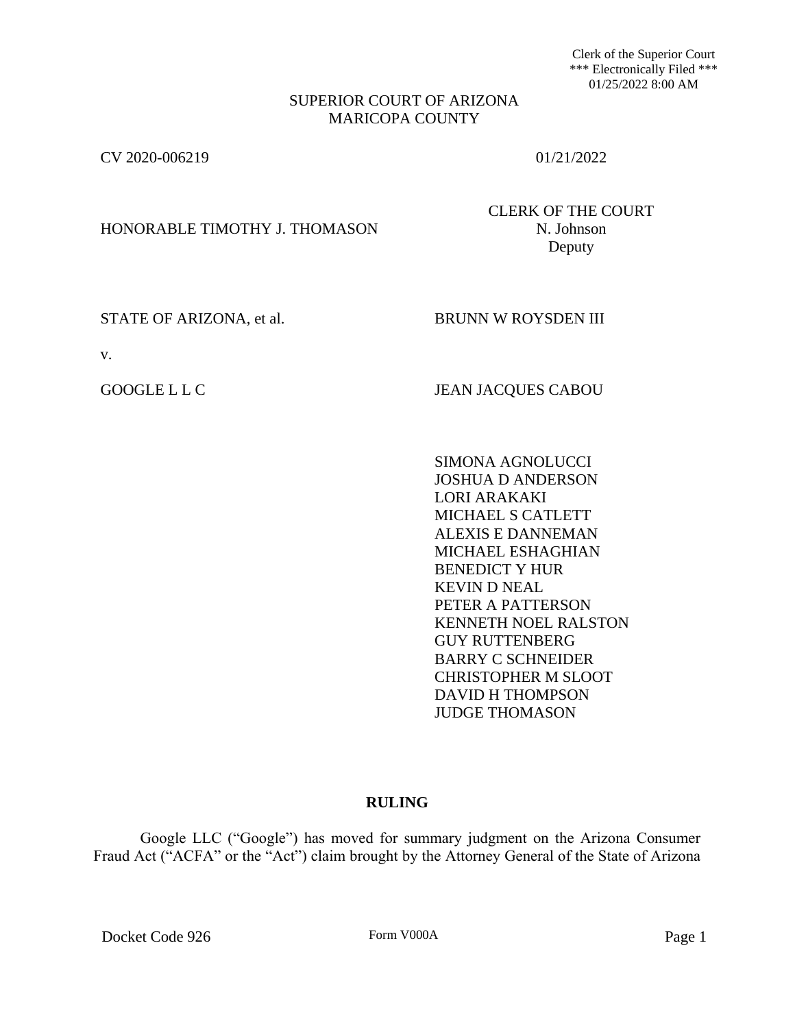Clerk of the Superior Court \*\*\* Electronically Filed \*\*\* 01/25/2022 8:00 AM

## SUPERIOR COURT OF ARIZONA MARICOPA COUNTY

CV 2020-006219 01/21/2022

HONORABLE TIMOTHY J. THOMASON N. Johnson

CLERK OF THE COURT Deputy

STATE OF ARIZONA, et al. BRUNN W ROYSDEN III

v.

GOOGLE L L C JEAN JACQUES CABOU

SIMONA AGNOLUCCI JOSHUA D ANDERSON LORI ARAKAKI MICHAEL S CATLETT ALEXIS E DANNEMAN MICHAEL ESHAGHIAN BENEDICT Y HUR KEVIN D NEAL PETER A PATTERSON KENNETH NOEL RALSTON GUY RUTTENBERG BARRY C SCHNEIDER CHRISTOPHER M SLOOT DAVID H THOMPSON JUDGE THOMASON

# **RULING**

Google LLC ("Google") has moved for summary judgment on the Arizona Consumer Fraud Act ("ACFA" or the "Act") claim brought by the Attorney General of the State of Arizona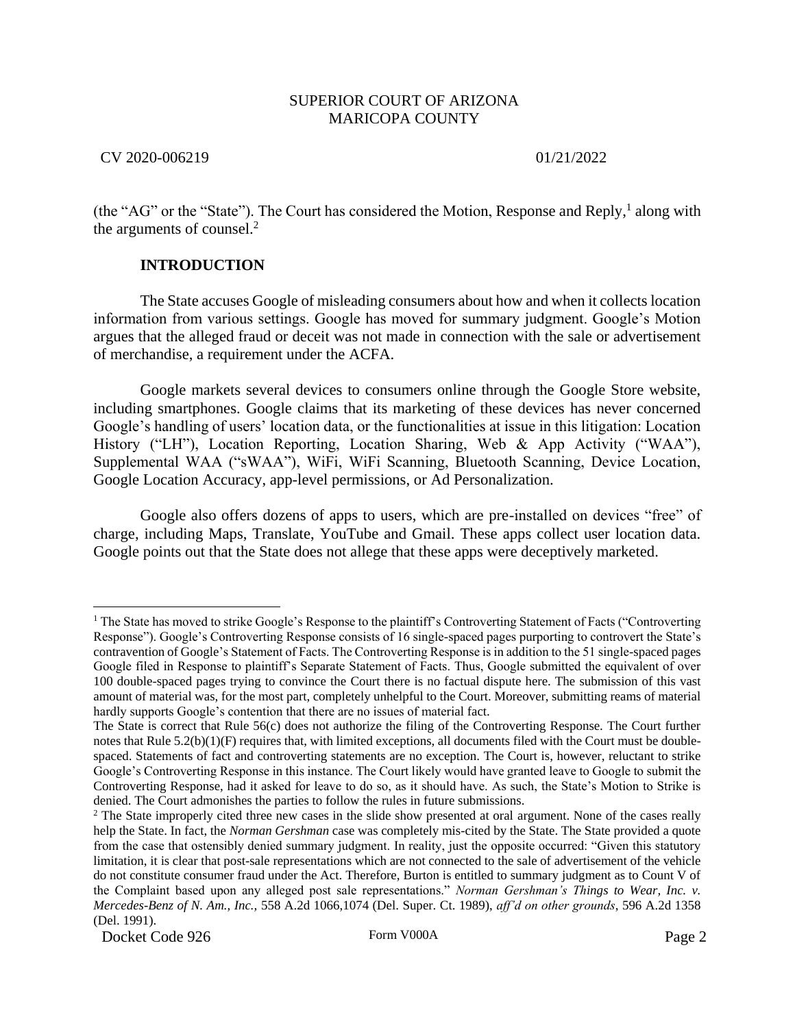CV 2020-006219 01/21/2022

(the "AG" or the "State"). The Court has considered the Motion, Response and Reply,<sup>1</sup> along with the arguments of counsel.<sup>2</sup>

# **INTRODUCTION**

The State accuses Google of misleading consumers about how and when it collects location information from various settings. Google has moved for summary judgment. Google's Motion argues that the alleged fraud or deceit was not made in connection with the sale or advertisement of merchandise, a requirement under the ACFA.

Google markets several devices to consumers online through the Google Store website, including smartphones. Google claims that its marketing of these devices has never concerned Google's handling of users' location data, or the functionalities at issue in this litigation: Location History ("LH"), Location Reporting, Location Sharing, Web & App Activity ("WAA"), Supplemental WAA ("sWAA"), WiFi, WiFi Scanning, Bluetooth Scanning, Device Location, Google Location Accuracy, app-level permissions, or Ad Personalization.

Google also offers dozens of apps to users, which are pre-installed on devices "free" of charge, including Maps, Translate, YouTube and Gmail. These apps collect user location data. Google points out that the State does not allege that these apps were deceptively marketed.

<sup>&</sup>lt;sup>1</sup> The State has moved to strike Google's Response to the plaintiff's Controverting Statement of Facts ("Controverting Response"). Google's Controverting Response consists of 16 single-spaced pages purporting to controvert the State's contravention of Google's Statement of Facts. The Controverting Response is in addition to the 51 single-spaced pages Google filed in Response to plaintiff's Separate Statement of Facts. Thus, Google submitted the equivalent of over 100 double-spaced pages trying to convince the Court there is no factual dispute here. The submission of this vast amount of material was, for the most part, completely unhelpful to the Court. Moreover, submitting reams of material hardly supports Google's contention that there are no issues of material fact.

The State is correct that Rule 56(c) does not authorize the filing of the Controverting Response. The Court further notes that Rule 5.2(b)(1)(F) requires that, with limited exceptions, all documents filed with the Court must be doublespaced. Statements of fact and controverting statements are no exception. The Court is, however, reluctant to strike Google's Controverting Response in this instance. The Court likely would have granted leave to Google to submit the Controverting Response, had it asked for leave to do so, as it should have. As such, the State's Motion to Strike is denied. The Court admonishes the parties to follow the rules in future submissions.

<sup>&</sup>lt;sup>2</sup> The State improperly cited three new cases in the slide show presented at oral argument. None of the cases really help the State. In fact, the *Norman Gershman* case was completely mis-cited by the State. The State provided a quote from the case that ostensibly denied summary judgment. In reality, just the opposite occurred: "Given this statutory limitation, it is clear that post-sale representations which are not connected to the sale of advertisement of the vehicle do not constitute consumer fraud under the Act. Therefore, Burton is entitled to summary judgment as to Count V of the Complaint based upon any alleged post sale representations." *Norman Gershman's Things to Wear, Inc. v. Mercedes-Benz of N. Am., Inc.,* 558 A.2d 1066,1074 (Del. Super. Ct. 1989), *aff'd on other grounds*, 596 A.2d 1358 (Del. 1991).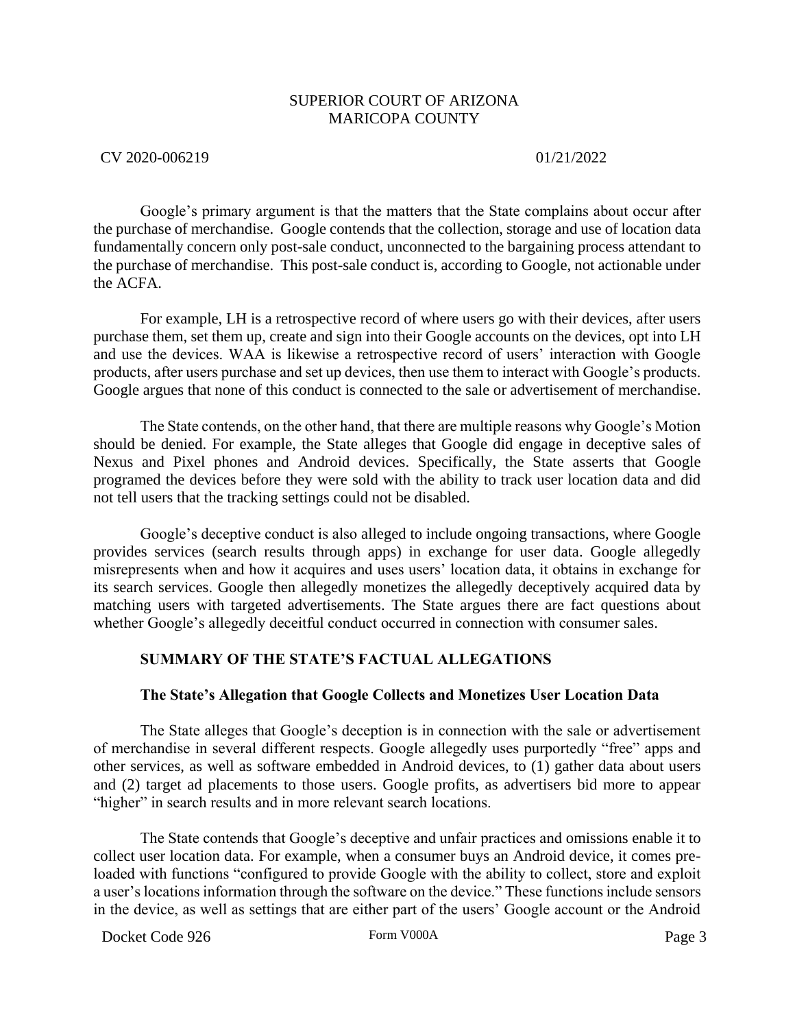CV 2020-006219 01/21/2022

Google's primary argument is that the matters that the State complains about occur after the purchase of merchandise. Google contends that the collection, storage and use of location data fundamentally concern only post-sale conduct, unconnected to the bargaining process attendant to the purchase of merchandise. This post-sale conduct is, according to Google, not actionable under the ACFA.

For example, LH is a retrospective record of where users go with their devices, after users purchase them, set them up, create and sign into their Google accounts on the devices, opt into LH and use the devices. WAA is likewise a retrospective record of users' interaction with Google products, after users purchase and set up devices, then use them to interact with Google's products. Google argues that none of this conduct is connected to the sale or advertisement of merchandise.

The State contends, on the other hand, that there are multiple reasons why Google's Motion should be denied. For example, the State alleges that Google did engage in deceptive sales of Nexus and Pixel phones and Android devices. Specifically, the State asserts that Google programed the devices before they were sold with the ability to track user location data and did not tell users that the tracking settings could not be disabled.

Google's deceptive conduct is also alleged to include ongoing transactions, where Google provides services (search results through apps) in exchange for user data. Google allegedly misrepresents when and how it acquires and uses users' location data, it obtains in exchange for its search services. Google then allegedly monetizes the allegedly deceptively acquired data by matching users with targeted advertisements. The State argues there are fact questions about whether Google's allegedly deceitful conduct occurred in connection with consumer sales.

# **SUMMARY OF THE STATE'S FACTUAL ALLEGATIONS**

### **The State's Allegation that Google Collects and Monetizes User Location Data**

The State alleges that Google's deception is in connection with the sale or advertisement of merchandise in several different respects. Google allegedly uses purportedly "free" apps and other services, as well as software embedded in Android devices, to (1) gather data about users and (2) target ad placements to those users. Google profits, as advertisers bid more to appear "higher" in search results and in more relevant search locations.

The State contends that Google's deceptive and unfair practices and omissions enable it to collect user location data. For example, when a consumer buys an Android device, it comes preloaded with functions "configured to provide Google with the ability to collect, store and exploit a user's locations information through the software on the device." These functions include sensors in the device, as well as settings that are either part of the users' Google account or the Android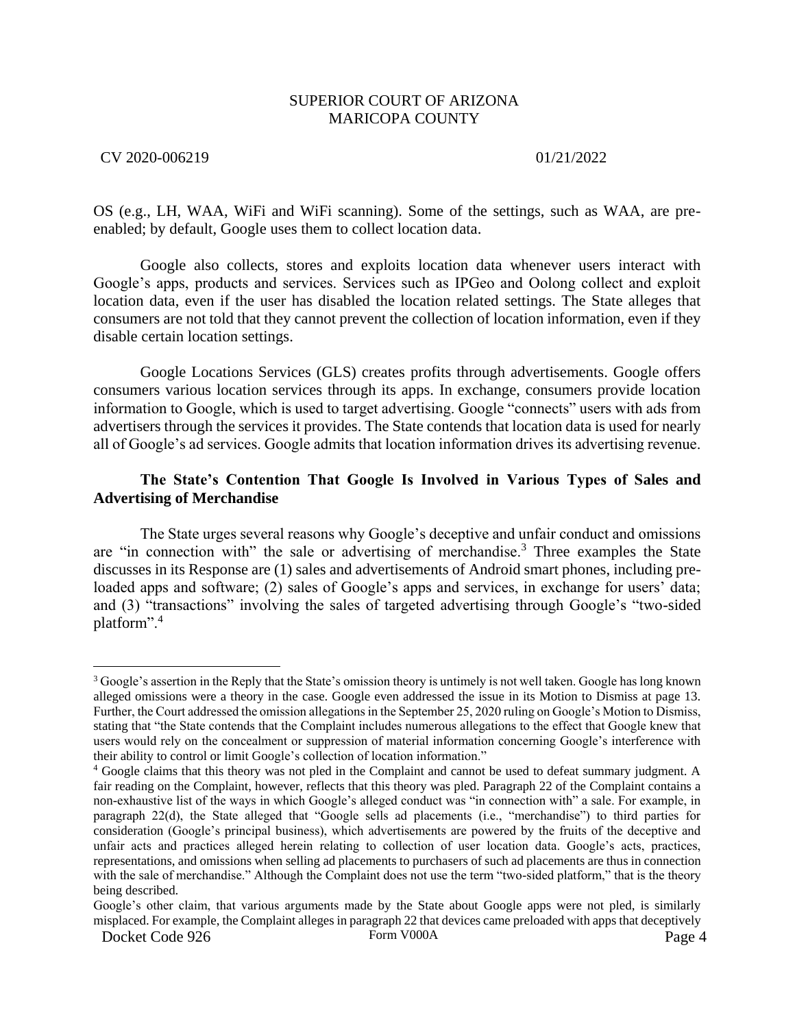### CV 2020-006219 01/21/2022

OS (e.g., LH, WAA, WiFi and WiFi scanning). Some of the settings, such as WAA, are preenabled; by default, Google uses them to collect location data.

Google also collects, stores and exploits location data whenever users interact with Google's apps, products and services. Services such as IPGeo and Oolong collect and exploit location data, even if the user has disabled the location related settings. The State alleges that consumers are not told that they cannot prevent the collection of location information, even if they disable certain location settings.

Google Locations Services (GLS) creates profits through advertisements. Google offers consumers various location services through its apps. In exchange, consumers provide location information to Google, which is used to target advertising. Google "connects" users with ads from advertisers through the services it provides. The State contends that location data is used for nearly all of Google's ad services. Google admits that location information drives its advertising revenue.

# **The State's Contention That Google Is Involved in Various Types of Sales and Advertising of Merchandise**

The State urges several reasons why Google's deceptive and unfair conduct and omissions are "in connection with" the sale or advertising of merchandise.<sup>3</sup> Three examples the State discusses in its Response are (1) sales and advertisements of Android smart phones, including preloaded apps and software; (2) sales of Google's apps and services, in exchange for users' data; and (3) "transactions" involving the sales of targeted advertising through Google's "two-sided platform".<sup>4</sup>

<sup>&</sup>lt;sup>3</sup> Google's assertion in the Reply that the State's omission theory is untimely is not well taken. Google has long known alleged omissions were a theory in the case. Google even addressed the issue in its Motion to Dismiss at page 13. Further, the Court addressed the omission allegations in the September 25, 2020 ruling on Google's Motion to Dismiss, stating that "the State contends that the Complaint includes numerous allegations to the effect that Google knew that users would rely on the concealment or suppression of material information concerning Google's interference with their ability to control or limit Google's collection of location information."

<sup>4</sup> Google claims that this theory was not pled in the Complaint and cannot be used to defeat summary judgment. A fair reading on the Complaint, however, reflects that this theory was pled. Paragraph 22 of the Complaint contains a non-exhaustive list of the ways in which Google's alleged conduct was "in connection with" a sale. For example, in paragraph 22(d), the State alleged that "Google sells ad placements (i.e., "merchandise") to third parties for consideration (Google's principal business), which advertisements are powered by the fruits of the deceptive and unfair acts and practices alleged herein relating to collection of user location data. Google's acts, practices, representations, and omissions when selling ad placements to purchasers of such ad placements are thus in connection with the sale of merchandise." Although the Complaint does not use the term "two-sided platform," that is the theory being described.

Docket Code 926 Form V000A Form V000A Page 4 Google's other claim, that various arguments made by the State about Google apps were not pled, is similarly misplaced. For example, the Complaint alleges in paragraph 22 that devices came preloaded with apps that deceptively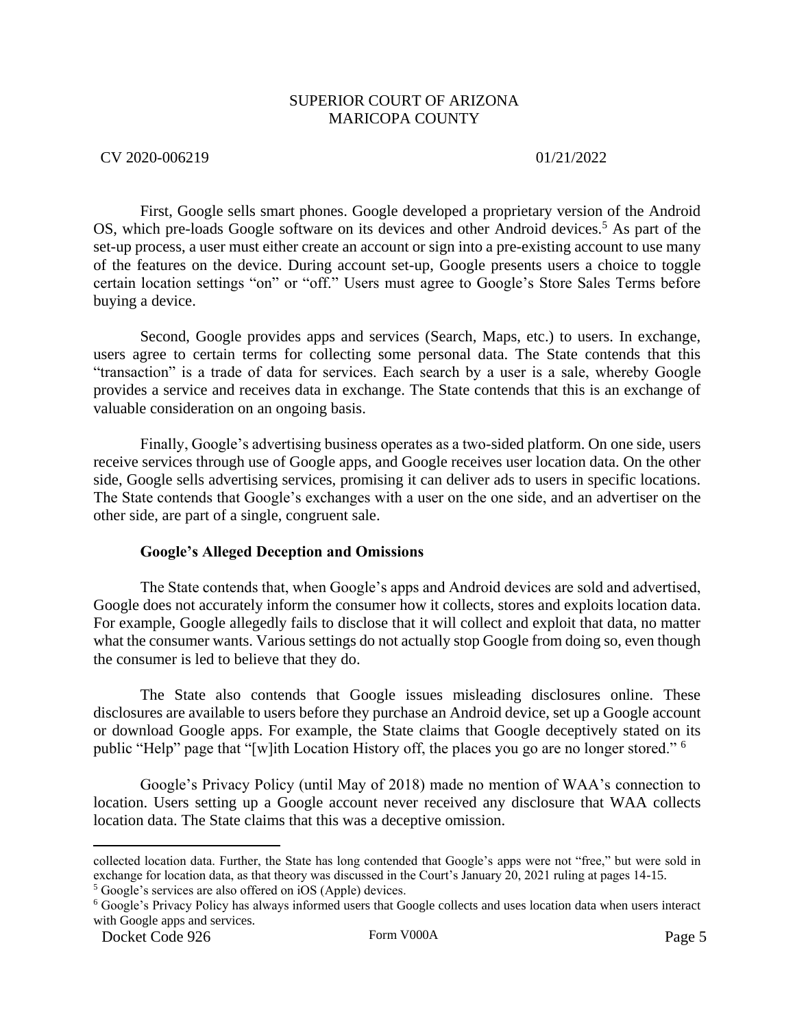### CV 2020-006219 01/21/2022

First, Google sells smart phones. Google developed a proprietary version of the Android OS, which pre-loads Google software on its devices and other Android devices.<sup>5</sup> As part of the set-up process, a user must either create an account or sign into a pre-existing account to use many of the features on the device. During account set-up, Google presents users a choice to toggle certain location settings "on" or "off." Users must agree to Google's Store Sales Terms before buying a device.

Second, Google provides apps and services (Search, Maps, etc.) to users. In exchange, users agree to certain terms for collecting some personal data. The State contends that this "transaction" is a trade of data for services. Each search by a user is a sale, whereby Google provides a service and receives data in exchange. The State contends that this is an exchange of valuable consideration on an ongoing basis.

Finally, Google's advertising business operates as a two-sided platform. On one side, users receive services through use of Google apps, and Google receives user location data. On the other side, Google sells advertising services, promising it can deliver ads to users in specific locations. The State contends that Google's exchanges with a user on the one side, and an advertiser on the other side, are part of a single, congruent sale.

### **Google's Alleged Deception and Omissions**

The State contends that, when Google's apps and Android devices are sold and advertised, Google does not accurately inform the consumer how it collects, stores and exploits location data. For example, Google allegedly fails to disclose that it will collect and exploit that data, no matter what the consumer wants. Various settings do not actually stop Google from doing so, even though the consumer is led to believe that they do.

The State also contends that Google issues misleading disclosures online. These disclosures are available to users before they purchase an Android device, set up a Google account or download Google apps. For example, the State claims that Google deceptively stated on its public "Help" page that "[w]ith Location History off, the places you go are no longer stored." <sup>6</sup>

Google's Privacy Policy (until May of 2018) made no mention of WAA's connection to location. Users setting up a Google account never received any disclosure that WAA collects location data. The State claims that this was a deceptive omission.

collected location data. Further, the State has long contended that Google's apps were not "free," but were sold in exchange for location data, as that theory was discussed in the Court's January 20, 2021 ruling at pages 14-15.

<sup>5</sup> Google's services are also offered on iOS (Apple) devices.

<sup>6</sup> Google's Privacy Policy has always informed users that Google collects and uses location data when users interact with Google apps and services.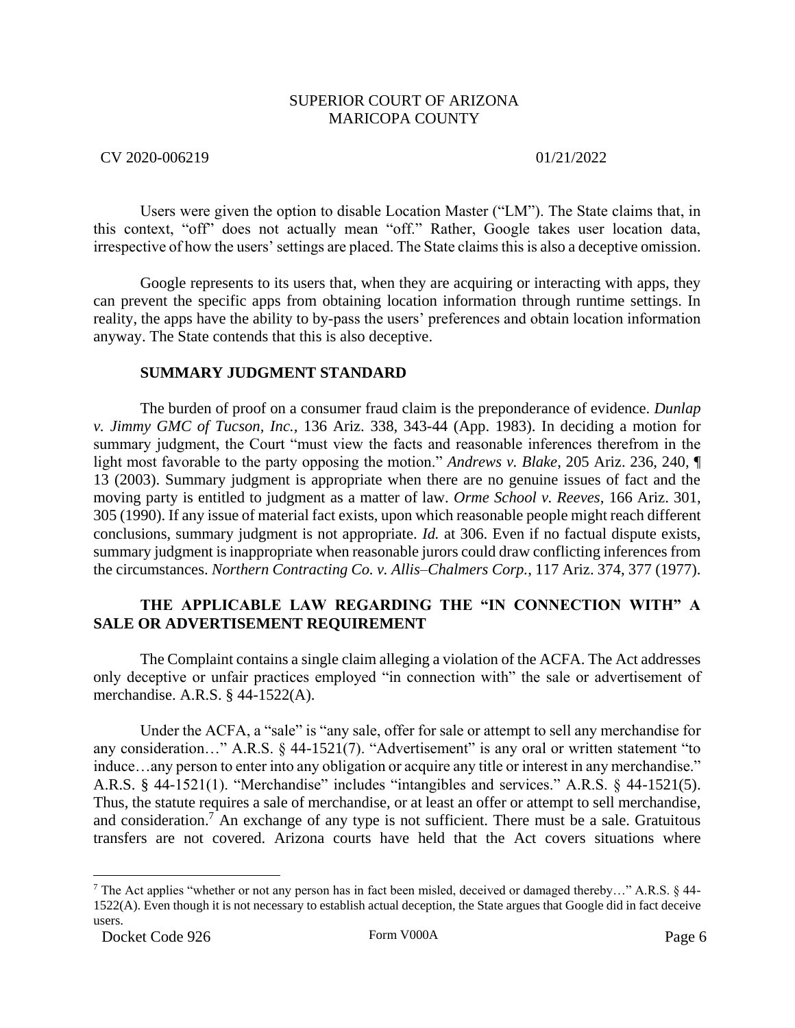## CV 2020-006219 01/21/2022

Users were given the option to disable Location Master ("LM"). The State claims that, in this context, "off" does not actually mean "off." Rather, Google takes user location data, irrespective of how the users' settings are placed. The State claims this is also a deceptive omission.

Google represents to its users that, when they are acquiring or interacting with apps, they can prevent the specific apps from obtaining location information through runtime settings. In reality, the apps have the ability to by-pass the users' preferences and obtain location information anyway. The State contends that this is also deceptive.

# **SUMMARY JUDGMENT STANDARD**

The burden of proof on a consumer fraud claim is the preponderance of evidence. *Dunlap v. Jimmy GMC of Tucson, Inc.,* 136 Ariz. 338, 343-44 (App. 1983). In deciding a motion for summary judgment, the Court "must view the facts and reasonable inferences therefrom in the light most favorable to the party opposing the motion." *Andrews v. Blake*, 205 Ariz. 236, 240, ¶ 13 (2003). Summary judgment is appropriate when there are no genuine issues of fact and the moving party is entitled to judgment as a matter of law. *Orme School v. Reeves,* 166 Ariz. 301, 305 (1990). If any issue of material fact exists, upon which reasonable people might reach different conclusions, summary judgment is not appropriate. *Id.* at 306. Even if no factual dispute exists, summary judgment is inappropriate when reasonable jurors could draw conflicting inferences from the circumstances. *Northern Contracting Co. v. Allis–Chalmers Corp.*, 117 Ariz. 374, 377 (1977).

# **THE APPLICABLE LAW REGARDING THE "IN CONNECTION WITH" A SALE OR ADVERTISEMENT REQUIREMENT**

The Complaint contains a single claim alleging a violation of the ACFA. The Act addresses only deceptive or unfair practices employed "in connection with" the sale or advertisement of merchandise. A.R.S. § 44-1522(A).

Under the ACFA, a "sale" is "any sale, offer for sale or attempt to sell any merchandise for any consideration..." A.R.S. § 44-1521(7). "Advertisement" is any oral or written statement "to induce…any person to enter into any obligation or acquire any title or interest in any merchandise." A.R.S. § 44-1521(1). "Merchandise" includes "intangibles and services." A.R.S. § 44-1521(5). Thus, the statute requires a sale of merchandise, or at least an offer or attempt to sell merchandise, and consideration.<sup>7</sup> An exchange of any type is not sufficient. There must be a sale. Gratuitous transfers are not covered. Arizona courts have held that the Act covers situations where

<sup>7</sup> The Act applies "whether or not any person has in fact been misled, deceived or damaged thereby…" A.R.S. § 44- 1522(A). Even though it is not necessary to establish actual deception, the State argues that Google did in fact deceive users.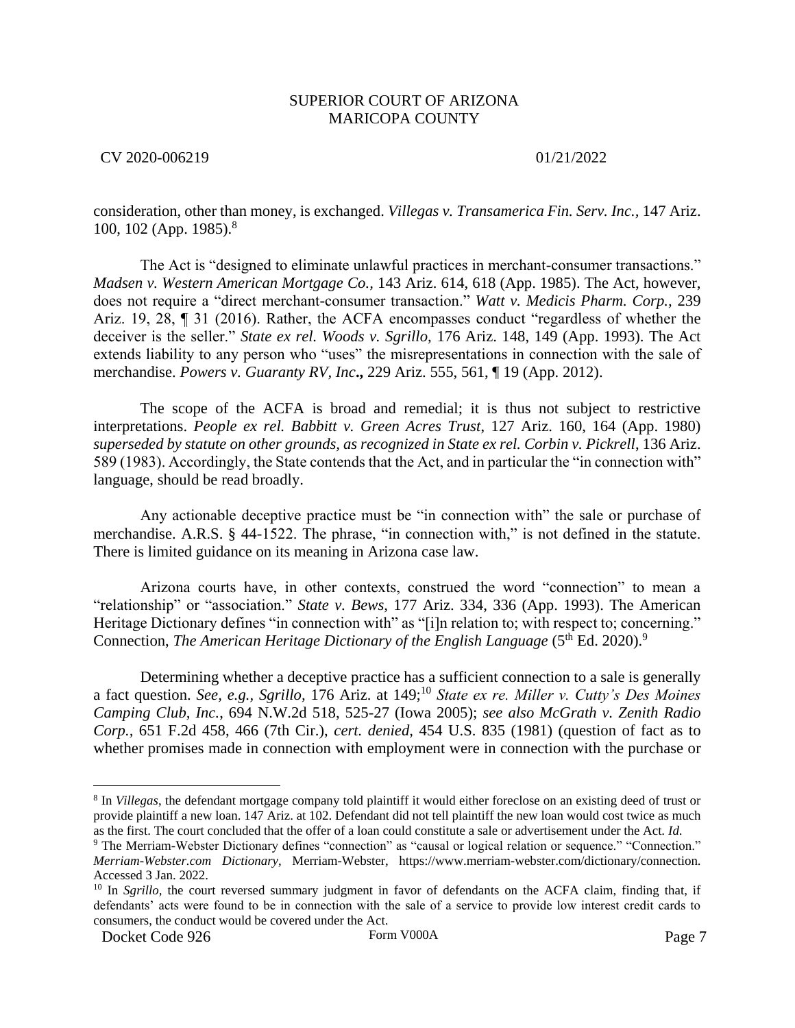CV 2020-006219 01/21/2022

consideration, other than money, is exchanged. *Villegas v. Transamerica Fin. Serv. Inc.,* 147 Ariz. 100, 102 (App. 1985).<sup>8</sup>

The Act is "designed to eliminate unlawful practices in merchant-consumer transactions." *Madsen v. Western American Mortgage Co.,* 143 Ariz. 614, 618 (App. 1985). The Act, however, does not require a "direct merchant-consumer transaction." *Watt v. Medicis Pharm. Corp.,* 239 Ariz. 19, 28, ¶ 31 (2016). Rather, the ACFA encompasses conduct "regardless of whether the deceiver is the seller." *State ex rel. Woods v. Sgrillo,* 176 Ariz. 148, 149 (App. 1993). The Act extends liability to any person who "uses" the misrepresentations in connection with the sale of merchandise. *Powers v. Guaranty RV, Inc***.,** 229 Ariz. 555, 561, ¶ 19 (App. 2012).

The scope of the ACFA is broad and remedial; it is thus not subject to restrictive interpretations. *People ex rel. Babbitt v. Green Acres Trust*, 127 Ariz. 160, 164 (App. 1980) *superseded by statute on other grounds, as recognized in State ex rel. Corbin v. Pickrell*, 136 Ariz. 589 (1983). Accordingly, the State contends that the Act, and in particular the "in connection with" language, should be read broadly.

Any actionable deceptive practice must be "in connection with" the sale or purchase of merchandise. A.R.S. § 44-1522. The phrase, "in connection with," is not defined in the statute. There is limited guidance on its meaning in Arizona case law.

Arizona courts have, in other contexts, construed the word "connection" to mean a "relationship" or "association." *State v. Bews*, 177 Ariz. 334, 336 (App. 1993). The American Heritage Dictionary defines "in connection with" as "[i]n relation to; with respect to; concerning." Connection, *The American Heritage Dictionary of the English Language* (5<sup>th</sup> Ed. 2020).<sup>9</sup>

Determining whether a deceptive practice has a sufficient connection to a sale is generally a fact question. *See, e.g., Sgrillo,* 176 Ariz. at 149;<sup>10</sup> *State ex re. Miller v. Cutty's Des Moines Camping Club, Inc.*, 694 N.W.2d 518, 525-27 (Iowa 2005); *see also McGrath v. Zenith Radio Corp.,* 651 F.2d 458, 466 (7th Cir.), *cert. denied,* 454 U.S. 835 (1981) (question of fact as to whether promises made in connection with employment were in connection with the purchase or

<sup>8</sup> In *Villegas*, the defendant mortgage company told plaintiff it would either foreclose on an existing deed of trust or provide plaintiff a new loan. 147 Ariz. at 102. Defendant did not tell plaintiff the new loan would cost twice as much as the first. The court concluded that the offer of a loan could constitute a sale or advertisement under the Act*. Id*.

<sup>9</sup> The Merriam-Webster Dictionary defines "connection" as "causal or logical relation or sequence." "Connection." *Merriam-Webster.com Dictionary*, Merriam-Webster, https://www.merriam-webster.com/dictionary/connection. Accessed 3 Jan. 2022.

<sup>&</sup>lt;sup>10</sup> In *Sgrillo*, the court reversed summary judgment in favor of defendants on the ACFA claim, finding that, if defendants' acts were found to be in connection with the sale of a service to provide low interest credit cards to consumers, the conduct would be covered under the Act.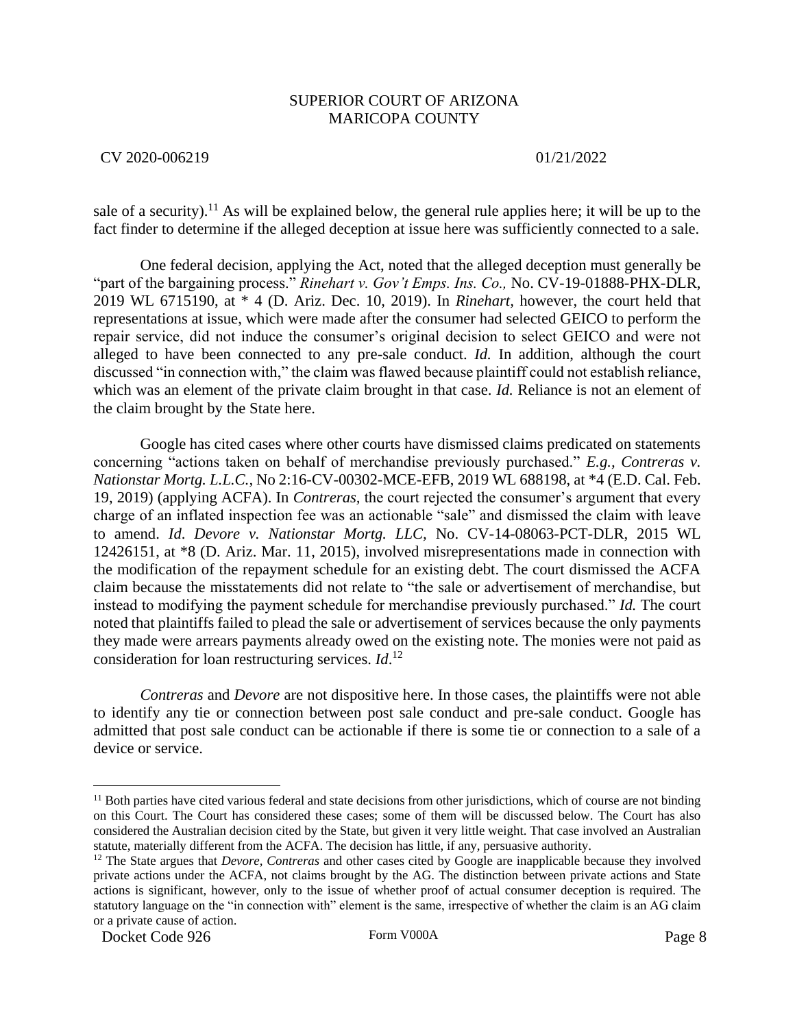### CV 2020-006219 01/21/2022

sale of a security).<sup>11</sup> As will be explained below, the general rule applies here; it will be up to the fact finder to determine if the alleged deception at issue here was sufficiently connected to a sale.

One federal decision, applying the Act, noted that the alleged deception must generally be "part of the bargaining process." *Rinehart v. Gov't Emps. Ins. Co.,* No. CV-19-01888-PHX-DLR, 2019 WL 6715190, at \* 4 (D. Ariz. Dec. 10, 2019). In *Rinehart,* however, the court held that representations at issue, which were made after the consumer had selected GEICO to perform the repair service, did not induce the consumer's original decision to select GEICO and were not alleged to have been connected to any pre-sale conduct. *Id.* In addition, although the court discussed "in connection with," the claim was flawed because plaintiff could not establish reliance, which was an element of the private claim brought in that case. *Id.* Reliance is not an element of the claim brought by the State here.

Google has cited cases where other courts have dismissed claims predicated on statements concerning "actions taken on behalf of merchandise previously purchased." *E.g., Contreras v. Nationstar Mortg. L.L.C.,* No 2:16-CV-00302-MCE-EFB, 2019 WL 688198, at \*4 (E.D. Cal. Feb. 19, 2019) (applying ACFA). In *Contreras,* the court rejected the consumer's argument that every charge of an inflated inspection fee was an actionable "sale" and dismissed the claim with leave to amend. *Id*. *Devore v. Nationstar Mortg. LLC,* No. CV-14-08063-PCT-DLR, 2015 WL 12426151, at \*8 (D. Ariz. Mar. 11, 2015), involved misrepresentations made in connection with the modification of the repayment schedule for an existing debt. The court dismissed the ACFA claim because the misstatements did not relate to "the sale or advertisement of merchandise, but instead to modifying the payment schedule for merchandise previously purchased." *Id.* The court noted that plaintiffs failed to plead the sale or advertisement of services because the only payments they made were arrears payments already owed on the existing note. The monies were not paid as consideration for loan restructuring services. *Id*. 12

*Contreras* and *Devore* are not dispositive here. In those cases, the plaintiffs were not able to identify any tie or connection between post sale conduct and pre-sale conduct. Google has admitted that post sale conduct can be actionable if there is some tie or connection to a sale of a device or service.

<sup>&</sup>lt;sup>11</sup> Both parties have cited various federal and state decisions from other jurisdictions, which of course are not binding on this Court. The Court has considered these cases; some of them will be discussed below. The Court has also considered the Australian decision cited by the State, but given it very little weight. That case involved an Australian statute, materially different from the ACFA. The decision has little, if any, persuasive authority.

<sup>12</sup> The State argues that *Devore, Contreras* and other cases cited by Google are inapplicable because they involved private actions under the ACFA, not claims brought by the AG. The distinction between private actions and State actions is significant, however, only to the issue of whether proof of actual consumer deception is required. The statutory language on the "in connection with" element is the same, irrespective of whether the claim is an AG claim or a private cause of action.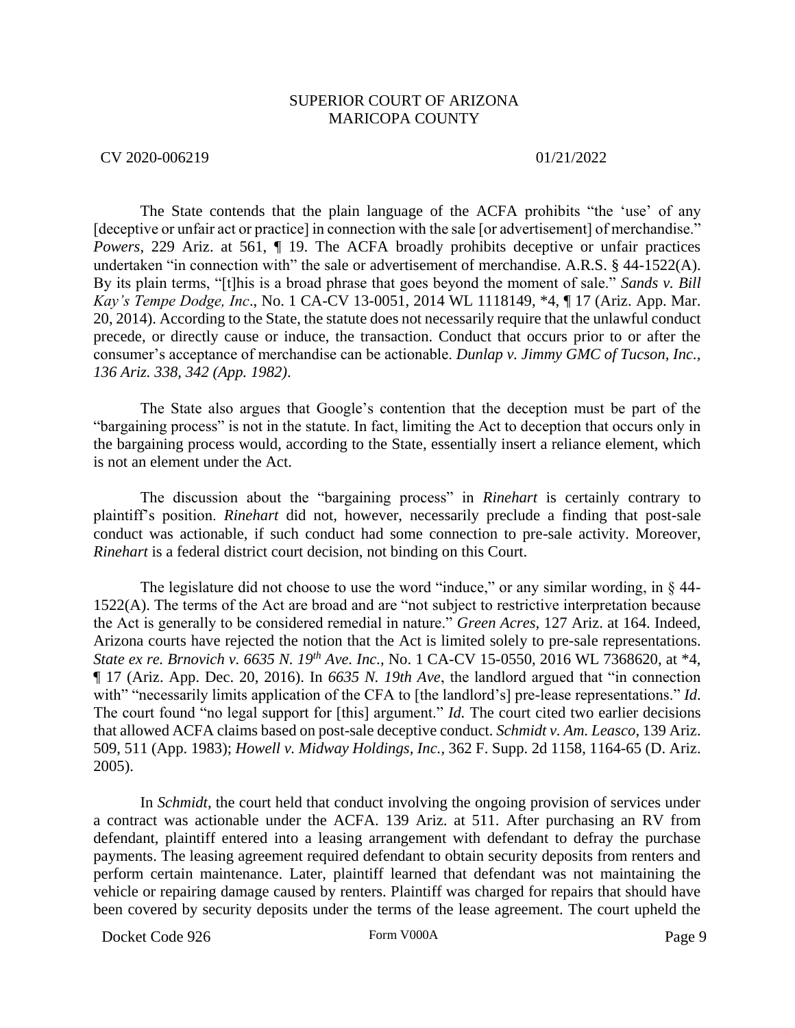### CV 2020-006219 01/21/2022

The State contends that the plain language of the ACFA prohibits "the 'use' of any [deceptive or unfair act or practice] in connection with the sale [or advertisement] of merchandise." *Powers*, 229 Ariz. at 561, ¶ 19. The ACFA broadly prohibits deceptive or unfair practices undertaken "in connection with" the sale or advertisement of merchandise. A.R.S. § 44-1522(A). By its plain terms, "[t]his is a broad phrase that goes beyond the moment of sale." *Sands v. Bill Kay's Tempe Dodge, Inc*., No. 1 CA-CV 13-0051, 2014 WL 1118149, \*4, ¶ 17 (Ariz. App. Mar. 20, 2014). According to the State, the statute does not necessarily require that the unlawful conduct precede, or directly cause or induce, the transaction. Conduct that occurs prior to or after the consumer's acceptance of merchandise can be actionable. *Dunlap v. Jimmy GMC of Tucson, Inc., 136 Ariz. 338, 342 (App. 1982)*.

The State also argues that Google's contention that the deception must be part of the "bargaining process" is not in the statute. In fact, limiting the Act to deception that occurs only in the bargaining process would, according to the State, essentially insert a reliance element, which is not an element under the Act.

The discussion about the "bargaining process" in *Rinehart* is certainly contrary to plaintiff's position. *Rinehart* did not, however, necessarily preclude a finding that post-sale conduct was actionable, if such conduct had some connection to pre-sale activity. Moreover, *Rinehart* is a federal district court decision, not binding on this Court.

The legislature did not choose to use the word "induce," or any similar wording, in § 44-1522(A). The terms of the Act are broad and are "not subject to restrictive interpretation because the Act is generally to be considered remedial in nature." *Green Acres,* 127 Ariz. at 164. Indeed, Arizona courts have rejected the notion that the Act is limited solely to pre-sale representations. *State ex re. Brnovich v. 6635 N. 19th Ave. Inc.,* No. 1 CA-CV 15-0550, 2016 WL 7368620, at \*4, ¶ 17 (Ariz. App. Dec. 20, 2016). In *6635 N. 19th Ave*, the landlord argued that "in connection with" "necessarily limits application of the CFA to [the landlord's] pre-lease representations." *Id*. The court found "no legal support for [this] argument." *Id.* The court cited two earlier decisions that allowed ACFA claims based on post-sale deceptive conduct. *Schmidt v. Am. Leasco*, 139 Ariz. 509, 511 (App. 1983); *Howell v. Midway Holdings, Inc.,* 362 F. Supp. 2d 1158, 1164-65 (D. Ariz. 2005).

In *Schmidt*, the court held that conduct involving the ongoing provision of services under a contract was actionable under the ACFA. 139 Ariz. at 511. After purchasing an RV from defendant, plaintiff entered into a leasing arrangement with defendant to defray the purchase payments. The leasing agreement required defendant to obtain security deposits from renters and perform certain maintenance. Later, plaintiff learned that defendant was not maintaining the vehicle or repairing damage caused by renters. Plaintiff was charged for repairs that should have been covered by security deposits under the terms of the lease agreement. The court upheld the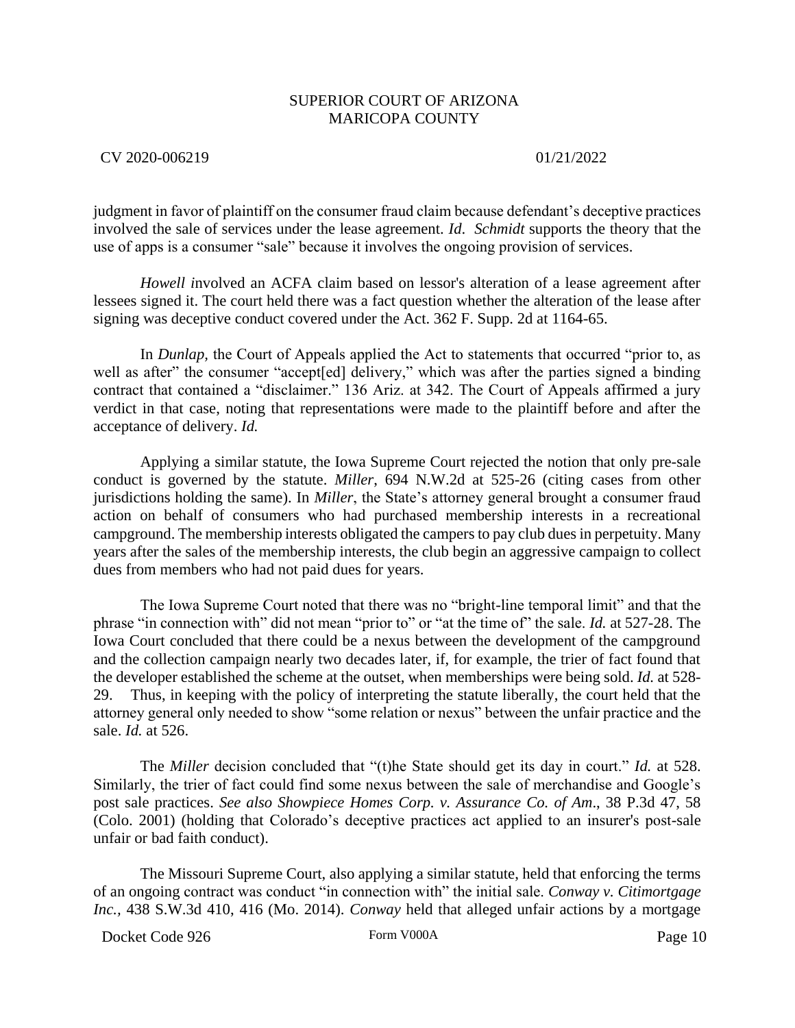CV 2020-006219 01/21/2022

judgment in favor of plaintiff on the consumer fraud claim because defendant's deceptive practices involved the sale of services under the lease agreement. *Id*. *Schmidt* supports the theory that the use of apps is a consumer "sale" because it involves the ongoing provision of services.

*Howell i*nvolved an ACFA claim based on lessor's alteration of a lease agreement after lessees signed it. The court held there was a fact question whether the alteration of the lease after signing was deceptive conduct covered under the Act. 362 F. Supp. 2d at 1164-65.

In *Dunlap,* the Court of Appeals applied the Act to statements that occurred "prior to, as well as after" the consumer "accept[ed] delivery," which was after the parties signed a binding contract that contained a "disclaimer." 136 Ariz. at 342. The Court of Appeals affirmed a jury verdict in that case, noting that representations were made to the plaintiff before and after the acceptance of delivery. *Id.*

Applying a similar statute, the Iowa Supreme Court rejected the notion that only pre-sale conduct is governed by the statute. *Miller*, 694 N.W.2d at 525-26 (citing cases from other jurisdictions holding the same). In *Miller*, the State's attorney general brought a consumer fraud action on behalf of consumers who had purchased membership interests in a recreational campground. The membership interests obligated the campers to pay club dues in perpetuity. Many years after the sales of the membership interests, the club begin an aggressive campaign to collect dues from members who had not paid dues for years.

The Iowa Supreme Court noted that there was no "bright-line temporal limit" and that the phrase "in connection with" did not mean "prior to" or "at the time of" the sale. *Id.* at 527-28. The Iowa Court concluded that there could be a nexus between the development of the campground and the collection campaign nearly two decades later, if, for example, the trier of fact found that the developer established the scheme at the outset, when memberships were being sold. *Id.* at 528- 29. Thus, in keeping with the policy of interpreting the statute liberally, the court held that the attorney general only needed to show "some relation or nexus" between the unfair practice and the sale. *Id.* at 526.

The *Miller* decision concluded that "(t)he State should get its day in court." *Id.* at 528. Similarly, the trier of fact could find some nexus between the sale of merchandise and Google's post sale practices. *See also Showpiece Homes Corp. v. Assurance Co. of Am*., 38 P.3d 47, 58 (Colo. 2001) (holding that Colorado's deceptive practices act applied to an insurer's post-sale unfair or bad faith conduct).

The Missouri Supreme Court, also applying a similar statute, held that enforcing the terms of an ongoing contract was conduct "in connection with" the initial sale. *Conway v. Citimortgage Inc.,* 438 S.W.3d 410, 416 (Mo. 2014). *Conway* held that alleged unfair actions by a mortgage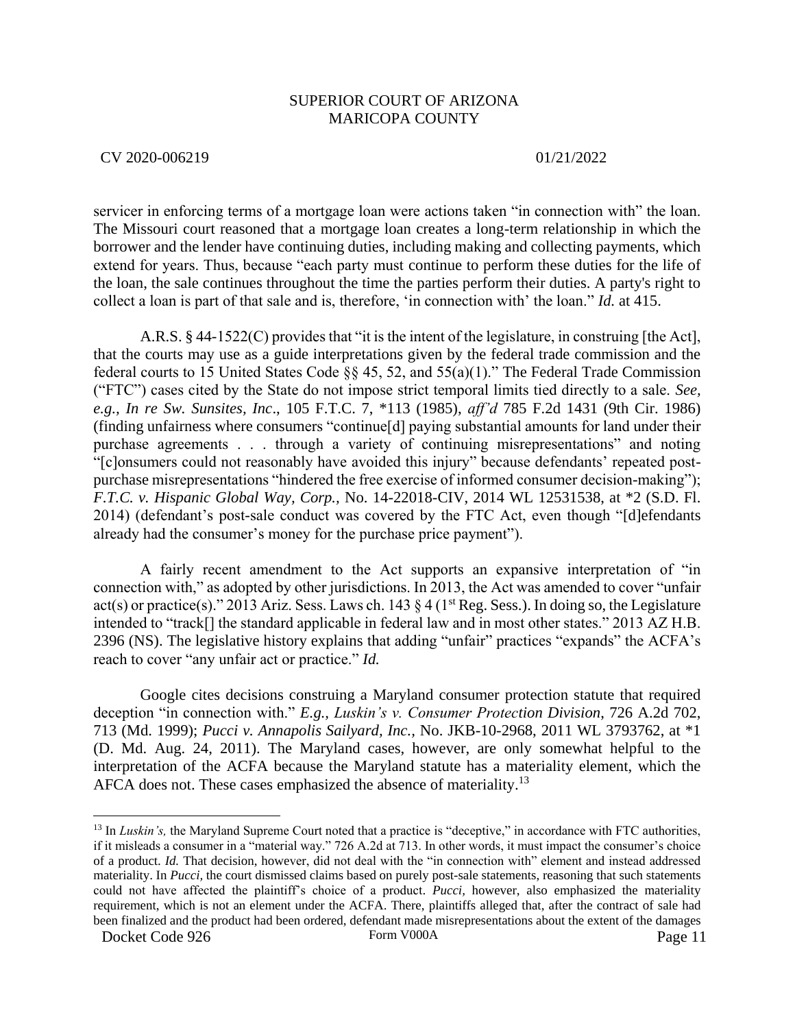CV 2020-006219 01/21/2022

servicer in enforcing terms of a mortgage loan were actions taken "in connection with" the loan. The Missouri court reasoned that a mortgage loan creates a long-term relationship in which the borrower and the lender have continuing duties, including making and collecting payments, which extend for years. Thus, because "each party must continue to perform these duties for the life of the loan, the sale continues throughout the time the parties perform their duties. A party's right to collect a loan is part of that sale and is, therefore, 'in connection with' the loan." *Id.* at 415.

A.R.S. § 44-1522(C) provides that "it is the intent of the legislature, in construing [the Act], that the courts may use as a guide interpretations given by the federal trade commission and the federal courts to 15 United States Code §§ 45, 52, and 55(a)(1)." The Federal Trade Commission ("FTC") cases cited by the State do not impose strict temporal limits tied directly to a sale. *See, e.g., In re Sw. Sunsites, Inc*., 105 F.T.C. 7, \*113 (1985), *aff'd* 785 F.2d 1431 (9th Cir. 1986) (finding unfairness where consumers "continue[d] paying substantial amounts for land under their purchase agreements . . . through a variety of continuing misrepresentations" and noting "[c]onsumers could not reasonably have avoided this injury" because defendants' repeated postpurchase misrepresentations "hindered the free exercise of informed consumer decision-making"); *F.T.C. v. Hispanic Global Way, Corp.,* No. 14-22018-CIV, 2014 WL 12531538, at \*2 (S.D. Fl. 2014) (defendant's post-sale conduct was covered by the FTC Act, even though "[d]efendants already had the consumer's money for the purchase price payment").

A fairly recent amendment to the Act supports an expansive interpretation of "in connection with," as adopted by other jurisdictions. In 2013, the Act was amended to cover "unfair act(s) or practice(s)." 2013 Ariz. Sess. Laws ch. 143  $\S 4$  (1<sup>st</sup> Reg. Sess.). In doing so, the Legislature intended to "track[] the standard applicable in federal law and in most other states." 2013 AZ H.B. 2396 (NS). The legislative history explains that adding "unfair" practices "expands" the ACFA's reach to cover "any unfair act or practice." *Id.*

Google cites decisions construing a Maryland consumer protection statute that required deception "in connection with." *E.g., Luskin's v. Consumer Protection Division*, 726 A.2d 702, 713 (Md. 1999); *Pucci v. Annapolis Sailyard, Inc.,* No. JKB-10-2968, 2011 WL 3793762, at \*1 (D. Md. Aug. 24, 2011). The Maryland cases, however, are only somewhat helpful to the interpretation of the ACFA because the Maryland statute has a materiality element, which the AFCA does not. These cases emphasized the absence of materiality.<sup>13</sup>

<sup>&</sup>lt;sup>13</sup> In *Luskin's*, the Maryland Supreme Court noted that a practice is "deceptive," in accordance with FTC authorities, if it misleads a consumer in a "material way." 726 A.2d at 713. In other words, it must impact the consumer's choice of a product. *Id.* That decision, however, did not deal with the "in connection with" element and instead addressed materiality. In *Pucci,* the court dismissed claims based on purely post-sale statements, reasoning that such statements could not have affected the plaintiff's choice of a product. *Pucci,* however, also emphasized the materiality requirement, which is not an element under the ACFA. There, plaintiffs alleged that, after the contract of sale had been finalized and the product had been ordered, defendant made misrepresentations about the extent of the damages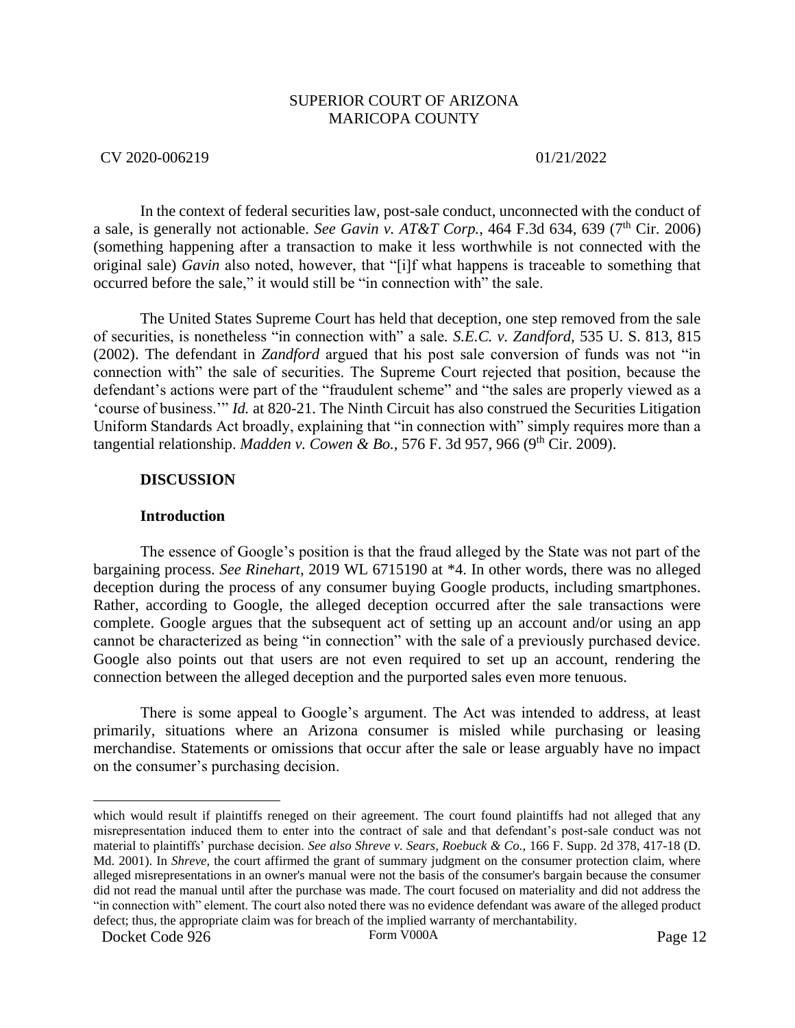### CV 2020-006219 01/21/2022

In the context of federal securities law, post-sale conduct, unconnected with the conduct of a sale, is generally not actionable. *See Gavin v. AT&T Corp.*, 464 F.3d 634, 639 (7<sup>th</sup> Cir. 2006) (something happening after a transaction to make it less worthwhile is not connected with the original sale) *Gavin* also noted, however, that "[i]f what happens is traceable to something that occurred before the sale," it would still be "in connection with" the sale.

The United States Supreme Court has held that deception, one step removed from the sale of securities, is nonetheless "in connection with" a sale*. S.E.C. v. Zandford,* 535 U. S. 813, 815 (2002). The defendant in *Zandford* argued that his post sale conversion of funds was not "in connection with" the sale of securities. The Supreme Court rejected that position, because the defendant's actions were part of the "fraudulent scheme" and "the sales are properly viewed as a 'course of business.'" *Id.* at 820-21. The Ninth Circuit has also construed the Securities Litigation Uniform Standards Act broadly, explaining that "in connection with" simply requires more than a tangential relationship. *Madden v. Cowen & Bo.*, 576 F. 3d 957, 966 (9<sup>th</sup> Cir. 2009).

### **DISCUSSION**

### **Introduction**

The essence of Google's position is that the fraud alleged by the State was not part of the bargaining process. *See Rinehart,* 2019 WL 6715190 at \*4. In other words, there was no alleged deception during the process of any consumer buying Google products, including smartphones. Rather, according to Google, the alleged deception occurred after the sale transactions were complete. Google argues that the subsequent act of setting up an account and/or using an app cannot be characterized as being "in connection" with the sale of a previously purchased device. Google also points out that users are not even required to set up an account, rendering the connection between the alleged deception and the purported sales even more tenuous.

There is some appeal to Google's argument. The Act was intended to address, at least primarily, situations where an Arizona consumer is misled while purchasing or leasing merchandise. Statements or omissions that occur after the sale or lease arguably have no impact on the consumer's purchasing decision.

which would result if plaintiffs reneged on their agreement. The court found plaintiffs had not alleged that any misrepresentation induced them to enter into the contract of sale and that defendant's post-sale conduct was not material to plaintiffs' purchase decision. *See also Shreve v. Sears, Roebuck & Co.,* 166 F. Supp. 2d 378, 417-18 (D. Md. 2001). In *Shreve*, the court affirmed the grant of summary judgment on the consumer protection claim, where alleged misrepresentations in an owner's manual were not the basis of the consumer's bargain because the consumer did not read the manual until after the purchase was made. The court focused on materiality and did not address the "in connection with" element. The court also noted there was no evidence defendant was aware of the alleged product defect; thus, the appropriate claim was for breach of the implied warranty of merchantability.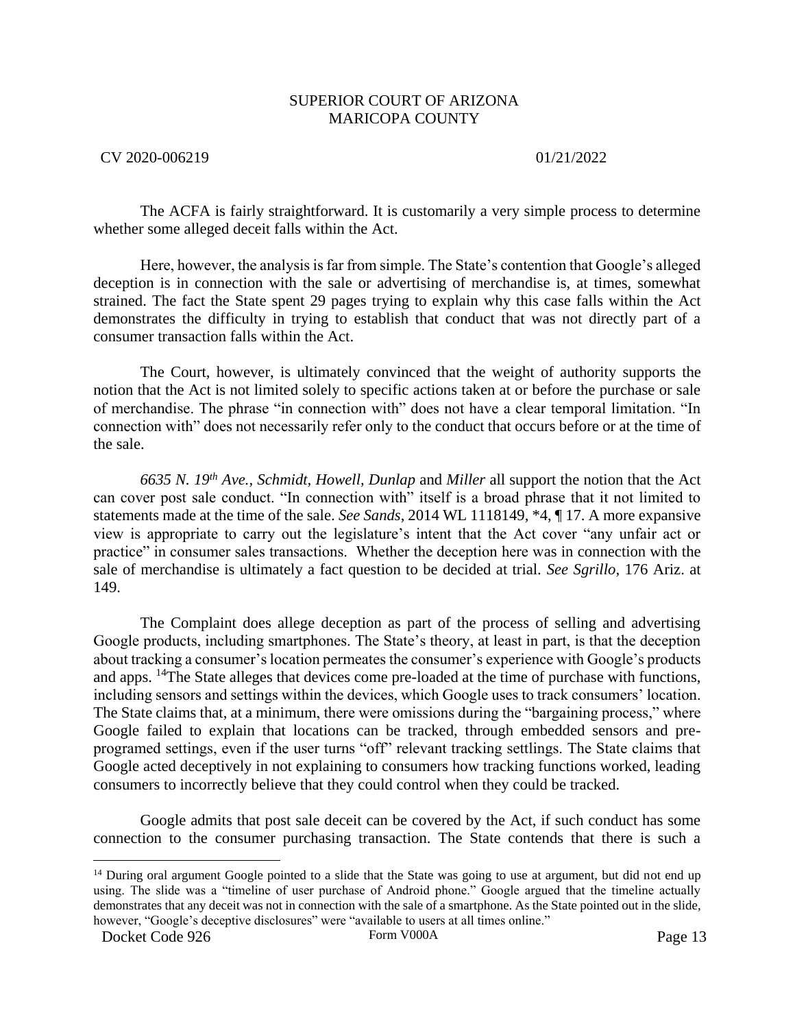### CV 2020-006219 01/21/2022

The ACFA is fairly straightforward. It is customarily a very simple process to determine whether some alleged deceit falls within the Act.

Here, however, the analysis is far from simple. The State's contention that Google's alleged deception is in connection with the sale or advertising of merchandise is, at times, somewhat strained. The fact the State spent 29 pages trying to explain why this case falls within the Act demonstrates the difficulty in trying to establish that conduct that was not directly part of a consumer transaction falls within the Act.

The Court, however, is ultimately convinced that the weight of authority supports the notion that the Act is not limited solely to specific actions taken at or before the purchase or sale of merchandise. The phrase "in connection with" does not have a clear temporal limitation. "In connection with" does not necessarily refer only to the conduct that occurs before or at the time of the sale.

*6635 N. 19th Ave., Schmidt, Howell, Dunlap* and *Miller* all support the notion that the Act can cover post sale conduct. "In connection with" itself is a broad phrase that it not limited to statements made at the time of the sale. *See Sands*, 2014 WL 1118149, \*4, ¶ 17. A more expansive view is appropriate to carry out the legislature's intent that the Act cover "any unfair act or practice" in consumer sales transactions. Whether the deception here was in connection with the sale of merchandise is ultimately a fact question to be decided at trial. *See Sgrillo*, 176 Ariz. at 149.

The Complaint does allege deception as part of the process of selling and advertising Google products, including smartphones. The State's theory, at least in part, is that the deception about tracking a consumer's location permeates the consumer's experience with Google's products and apps. <sup>14</sup>The State alleges that devices come pre-loaded at the time of purchase with functions, including sensors and settings within the devices, which Google uses to track consumers' location. The State claims that, at a minimum, there were omissions during the "bargaining process," where Google failed to explain that locations can be tracked, through embedded sensors and preprogramed settings, even if the user turns "off" relevant tracking settlings. The State claims that Google acted deceptively in not explaining to consumers how tracking functions worked, leading consumers to incorrectly believe that they could control when they could be tracked.

Google admits that post sale deceit can be covered by the Act, if such conduct has some connection to the consumer purchasing transaction. The State contends that there is such a

<sup>&</sup>lt;sup>14</sup> During oral argument Google pointed to a slide that the State was going to use at argument, but did not end up using. The slide was a "timeline of user purchase of Android phone." Google argued that the timeline actually demonstrates that any deceit was not in connection with the sale of a smartphone. As the State pointed out in the slide, however, "Google's deceptive disclosures" were "available to users at all times online."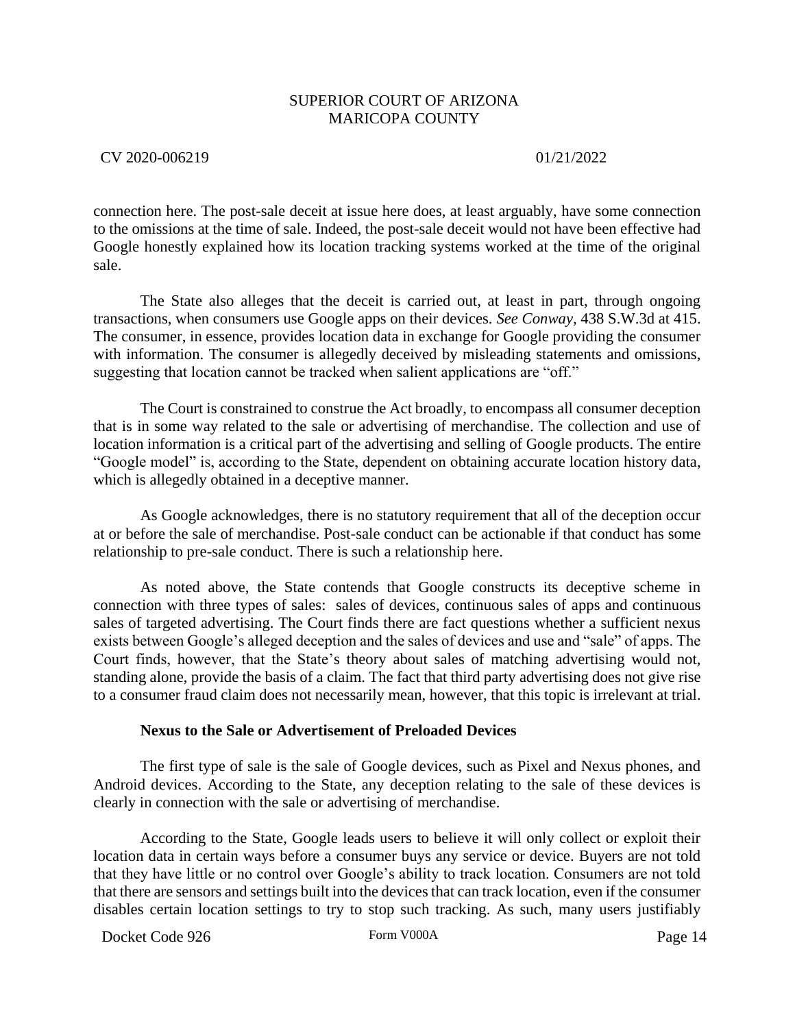CV 2020-006219 01/21/2022

connection here. The post-sale deceit at issue here does, at least arguably, have some connection to the omissions at the time of sale. Indeed, the post-sale deceit would not have been effective had Google honestly explained how its location tracking systems worked at the time of the original sale.

The State also alleges that the deceit is carried out, at least in part, through ongoing transactions, when consumers use Google apps on their devices*. See Conway,* 438 S.W.3d at 415. The consumer, in essence, provides location data in exchange for Google providing the consumer with information. The consumer is allegedly deceived by misleading statements and omissions, suggesting that location cannot be tracked when salient applications are "off."

The Court is constrained to construe the Act broadly, to encompass all consumer deception that is in some way related to the sale or advertising of merchandise. The collection and use of location information is a critical part of the advertising and selling of Google products. The entire "Google model" is, according to the State, dependent on obtaining accurate location history data, which is allegedly obtained in a deceptive manner.

As Google acknowledges, there is no statutory requirement that all of the deception occur at or before the sale of merchandise. Post-sale conduct can be actionable if that conduct has some relationship to pre-sale conduct. There is such a relationship here.

As noted above, the State contends that Google constructs its deceptive scheme in connection with three types of sales: sales of devices, continuous sales of apps and continuous sales of targeted advertising. The Court finds there are fact questions whether a sufficient nexus exists between Google's alleged deception and the sales of devices and use and "sale" of apps. The Court finds, however, that the State's theory about sales of matching advertising would not, standing alone, provide the basis of a claim. The fact that third party advertising does not give rise to a consumer fraud claim does not necessarily mean, however, that this topic is irrelevant at trial.

### **Nexus to the Sale or Advertisement of Preloaded Devices**

The first type of sale is the sale of Google devices, such as Pixel and Nexus phones, and Android devices. According to the State, any deception relating to the sale of these devices is clearly in connection with the sale or advertising of merchandise.

According to the State, Google leads users to believe it will only collect or exploit their location data in certain ways before a consumer buys any service or device. Buyers are not told that they have little or no control over Google's ability to track location. Consumers are not told that there are sensors and settings built into the devices that can track location, even if the consumer disables certain location settings to try to stop such tracking. As such, many users justifiably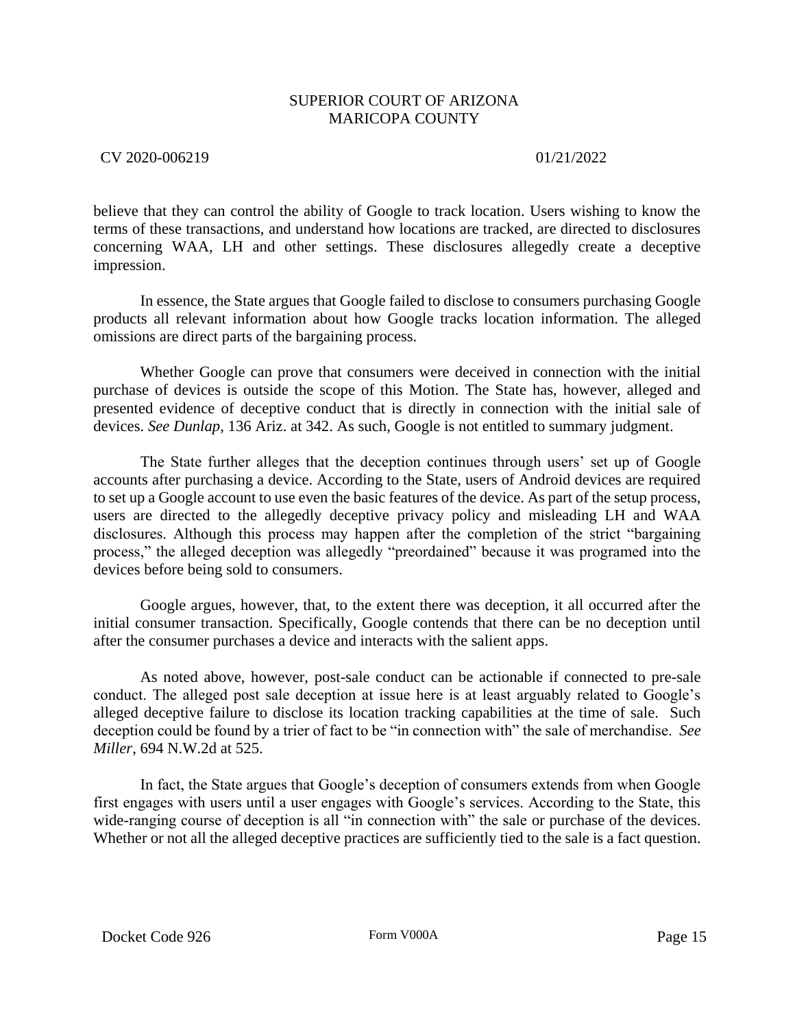# CV 2020-006219 01/21/2022

believe that they can control the ability of Google to track location. Users wishing to know the terms of these transactions, and understand how locations are tracked, are directed to disclosures concerning WAA, LH and other settings. These disclosures allegedly create a deceptive impression.

In essence, the State argues that Google failed to disclose to consumers purchasing Google products all relevant information about how Google tracks location information. The alleged omissions are direct parts of the bargaining process.

Whether Google can prove that consumers were deceived in connection with the initial purchase of devices is outside the scope of this Motion. The State has, however, alleged and presented evidence of deceptive conduct that is directly in connection with the initial sale of devices. *See Dunlap*, 136 Ariz. at 342. As such, Google is not entitled to summary judgment.

The State further alleges that the deception continues through users' set up of Google accounts after purchasing a device. According to the State, users of Android devices are required to set up a Google account to use even the basic features of the device. As part of the setup process, users are directed to the allegedly deceptive privacy policy and misleading LH and WAA disclosures. Although this process may happen after the completion of the strict "bargaining process," the alleged deception was allegedly "preordained" because it was programed into the devices before being sold to consumers.

Google argues, however, that, to the extent there was deception, it all occurred after the initial consumer transaction. Specifically, Google contends that there can be no deception until after the consumer purchases a device and interacts with the salient apps.

As noted above, however, post-sale conduct can be actionable if connected to pre-sale conduct. The alleged post sale deception at issue here is at least arguably related to Google's alleged deceptive failure to disclose its location tracking capabilities at the time of sale. Such deception could be found by a trier of fact to be "in connection with" the sale of merchandise. *See Miller*, 694 N.W.2d at 525.

In fact, the State argues that Google's deception of consumers extends from when Google first engages with users until a user engages with Google's services. According to the State, this wide-ranging course of deception is all "in connection with" the sale or purchase of the devices. Whether or not all the alleged deceptive practices are sufficiently tied to the sale is a fact question.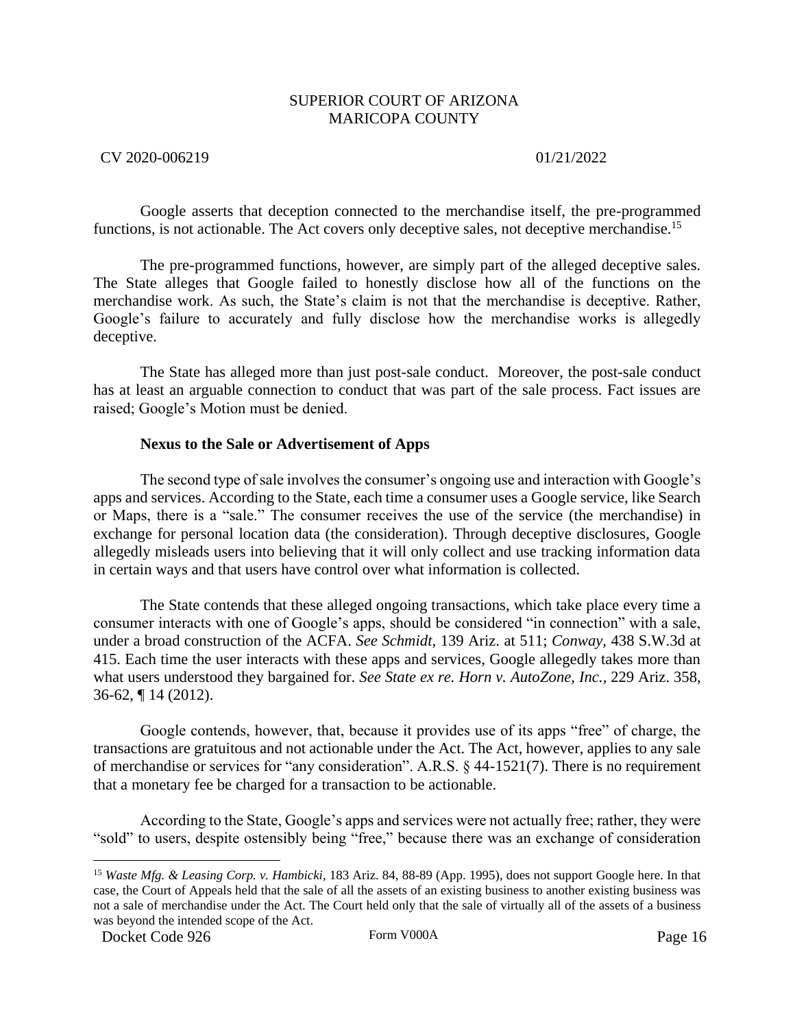## CV 2020-006219 01/21/2022

Google asserts that deception connected to the merchandise itself, the pre-programmed functions, is not actionable. The Act covers only deceptive sales, not deceptive merchandise.<sup>15</sup>

The pre-programmed functions, however, are simply part of the alleged deceptive sales. The State alleges that Google failed to honestly disclose how all of the functions on the merchandise work. As such, the State's claim is not that the merchandise is deceptive. Rather, Google's failure to accurately and fully disclose how the merchandise works is allegedly deceptive.

The State has alleged more than just post-sale conduct. Moreover, the post-sale conduct has at least an arguable connection to conduct that was part of the sale process. Fact issues are raised; Google's Motion must be denied.

### **Nexus to the Sale or Advertisement of Apps**

The second type of sale involves the consumer's ongoing use and interaction with Google's apps and services. According to the State, each time a consumer uses a Google service, like Search or Maps, there is a "sale." The consumer receives the use of the service (the merchandise) in exchange for personal location data (the consideration). Through deceptive disclosures, Google allegedly misleads users into believing that it will only collect and use tracking information data in certain ways and that users have control over what information is collected.

The State contends that these alleged ongoing transactions, which take place every time a consumer interacts with one of Google's apps, should be considered "in connection" with a sale, under a broad construction of the ACFA. *See Schmidt,* 139 Ariz. at 511; *Conway,* 438 S.W.3d at 415. Each time the user interacts with these apps and services, Google allegedly takes more than what users understood they bargained for. *See State ex re. Horn v. AutoZone, Inc.,* 229 Ariz. 358, 36-62, ¶ 14 (2012).

Google contends, however, that, because it provides use of its apps "free" of charge, the transactions are gratuitous and not actionable under the Act. The Act, however, applies to any sale of merchandise or services for "any consideration". A.R.S. § 44-1521(7). There is no requirement that a monetary fee be charged for a transaction to be actionable.

According to the State, Google's apps and services were not actually free; rather, they were "sold" to users, despite ostensibly being "free," because there was an exchange of consideration

<sup>15</sup> *Waste Mfg. & Leasing Corp. v. Hambicki*, 183 Ariz. 84, 88-89 (App. 1995), does not support Google here. In that case, the Court of Appeals held that the sale of all the assets of an existing business to another existing business was not a sale of merchandise under the Act. The Court held only that the sale of virtually all of the assets of a business was beyond the intended scope of the Act.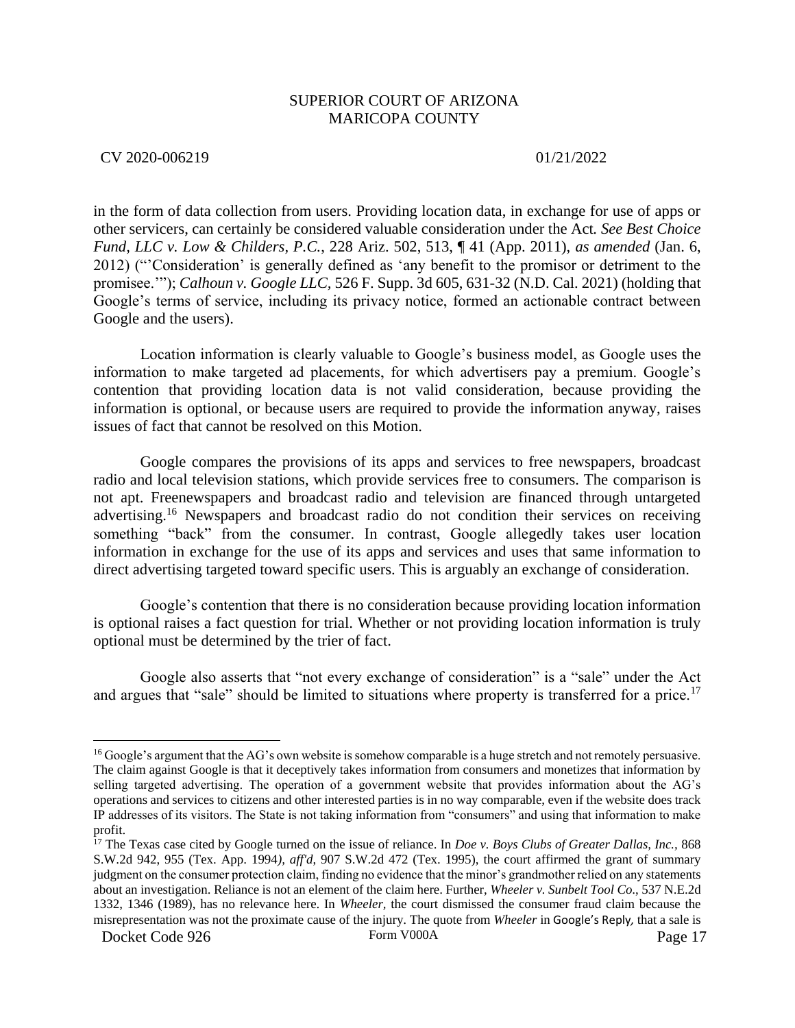### CV 2020-006219 01/21/2022

in the form of data collection from users. Providing location data, in exchange for use of apps or other servicers, can certainly be considered valuable consideration under the Act*. See Best Choice Fund, LLC v. Low & Childers, P.C.*, 228 Ariz. 502, 513, ¶ 41 (App. 2011), *as amended* (Jan. 6, 2012) ("'Consideration' is generally defined as 'any benefit to the promisor or detriment to the promisee.'"); *Calhoun v. Google LLC,* 526 F. Supp. 3d 605, 631-32 (N.D. Cal. 2021) (holding that Google's terms of service, including its privacy notice, formed an actionable contract between Google and the users).

Location information is clearly valuable to Google's business model, as Google uses the information to make targeted ad placements, for which advertisers pay a premium. Google's contention that providing location data is not valid consideration, because providing the information is optional, or because users are required to provide the information anyway, raises issues of fact that cannot be resolved on this Motion.

Google compares the provisions of its apps and services to free newspapers, broadcast radio and local television stations, which provide services free to consumers. The comparison is not apt. Freenewspapers and broadcast radio and television are financed through untargeted advertising.<sup>16</sup> Newspapers and broadcast radio do not condition their services on receiving something "back" from the consumer. In contrast, Google allegedly takes user location information in exchange for the use of its apps and services and uses that same information to direct advertising targeted toward specific users. This is arguably an exchange of consideration.

Google's contention that there is no consideration because providing location information is optional raises a fact question for trial. Whether or not providing location information is truly optional must be determined by the trier of fact.

Google also asserts that "not every exchange of consideration" is a "sale" under the Act and argues that "sale" should be limited to situations where property is transferred for a price.<sup>17</sup>

<sup>&</sup>lt;sup>16</sup> Google's argument that the AG's own website is somehow comparable is a huge stretch and not remotely persuasive. The claim against Google is that it deceptively takes information from consumers and monetizes that information by selling targeted advertising. The operation of a government website that provides information about the AG's operations and services to citizens and other interested parties is in no way comparable, even if the website does track IP addresses of its visitors. The State is not taking information from "consumers" and using that information to make profit.

<sup>17</sup> The Texas case cited by Google turned on the issue of reliance. In *Doe v. Boys Clubs of Greater Dallas, Inc.,* 868 S.W.2d 942, 955 (Tex. App. 1994*), aff'd*, 907 S.W.2d 472 (Tex. 1995), the court affirmed the grant of summary judgment on the consumer protection claim, finding no evidence that the minor's grandmother relied on any statements about an investigation. Reliance is not an element of the claim here. Further, *Wheeler v. Sunbelt Tool Co*., 537 N.E.2d 1332, 1346 (1989), has no relevance here. In *Wheeler,* the court dismissed the consumer fraud claim because the misrepresentation was not the proximate cause of the injury. The quote from *Wheeler* in Google's Reply*,* that a sale is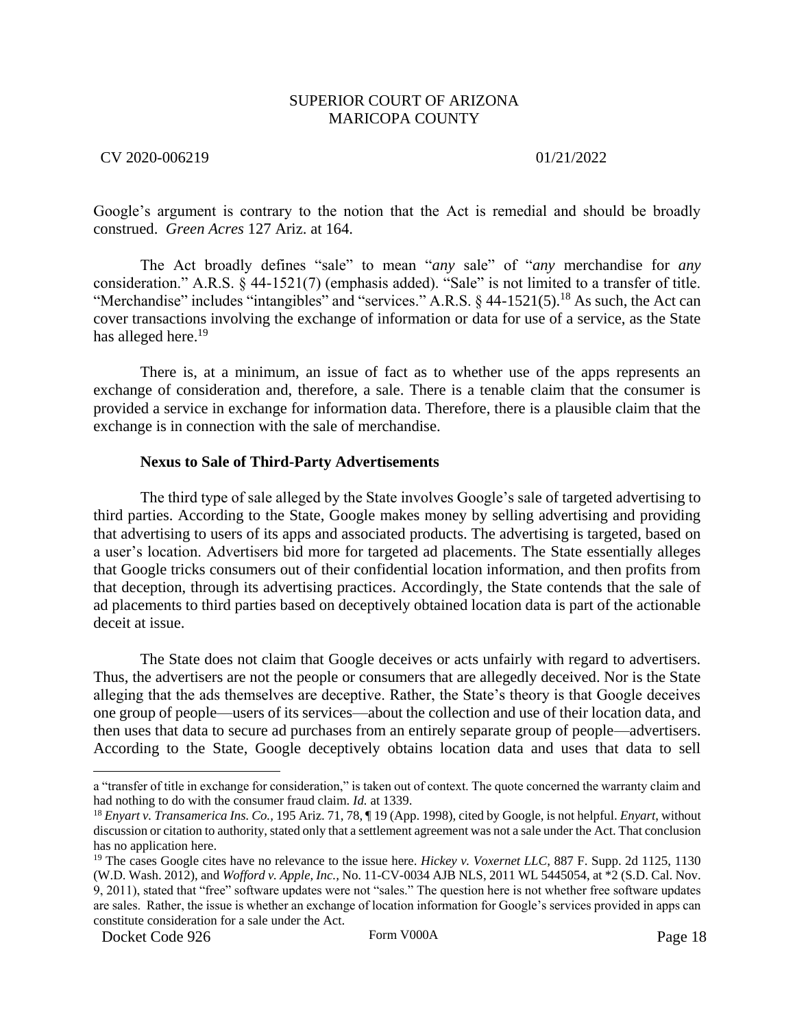CV 2020-006219 01/21/2022

Google's argument is contrary to the notion that the Act is remedial and should be broadly construed. *Green Acres* 127 Ariz. at 164.

The Act broadly defines "sale" to mean "*any* sale" of "*any* merchandise for *any* consideration." A.R.S. § 44-1521(7) (emphasis added). "Sale" is not limited to a transfer of title. "Merchandise" includes "intangibles" and "services." A.R.S.  $\S$  44-1521(5).<sup>18</sup> As such, the Act can cover transactions involving the exchange of information or data for use of a service, as the State has alleged here.<sup>19</sup>

There is, at a minimum, an issue of fact as to whether use of the apps represents an exchange of consideration and, therefore, a sale. There is a tenable claim that the consumer is provided a service in exchange for information data. Therefore, there is a plausible claim that the exchange is in connection with the sale of merchandise.

### **Nexus to Sale of Third-Party Advertisements**

The third type of sale alleged by the State involves Google's sale of targeted advertising to third parties. According to the State, Google makes money by selling advertising and providing that advertising to users of its apps and associated products. The advertising is targeted, based on a user's location. Advertisers bid more for targeted ad placements. The State essentially alleges that Google tricks consumers out of their confidential location information, and then profits from that deception, through its advertising practices. Accordingly, the State contends that the sale of ad placements to third parties based on deceptively obtained location data is part of the actionable deceit at issue.

The State does not claim that Google deceives or acts unfairly with regard to advertisers. Thus, the advertisers are not the people or consumers that are allegedly deceived. Nor is the State alleging that the ads themselves are deceptive. Rather, the State's theory is that Google deceives one group of people—users of its services—about the collection and use of their location data, and then uses that data to secure ad purchases from an entirely separate group of people—advertisers. According to the State, Google deceptively obtains location data and uses that data to sell

a "transfer of title in exchange for consideration," is taken out of context. The quote concerned the warranty claim and had nothing to do with the consumer fraud claim. *Id.* at 1339.

<sup>18</sup> *Enyart v. Transamerica Ins. Co.,* 195 Ariz. 71, 78, ¶ 19 (App. 1998), cited by Google, is not helpful. *Enyart*, without discussion or citation to authority, stated only that a settlement agreement was not a sale under the Act. That conclusion has no application here.

<sup>&</sup>lt;sup>19</sup> The cases Google cites have no relevance to the issue here. *Hickey v. Voxernet LLC*, 887 F. Supp. 2d 1125, 1130 (W.D. Wash. 2012), and *Wofford v. Apple, Inc.,* No. 11-CV-0034 AJB NLS, 2011 WL 5445054, at \*2 (S.D. Cal. Nov. 9, 2011), stated that "free" software updates were not "sales." The question here is not whether free software updates are sales. Rather, the issue is whether an exchange of location information for Google's services provided in apps can constitute consideration for a sale under the Act.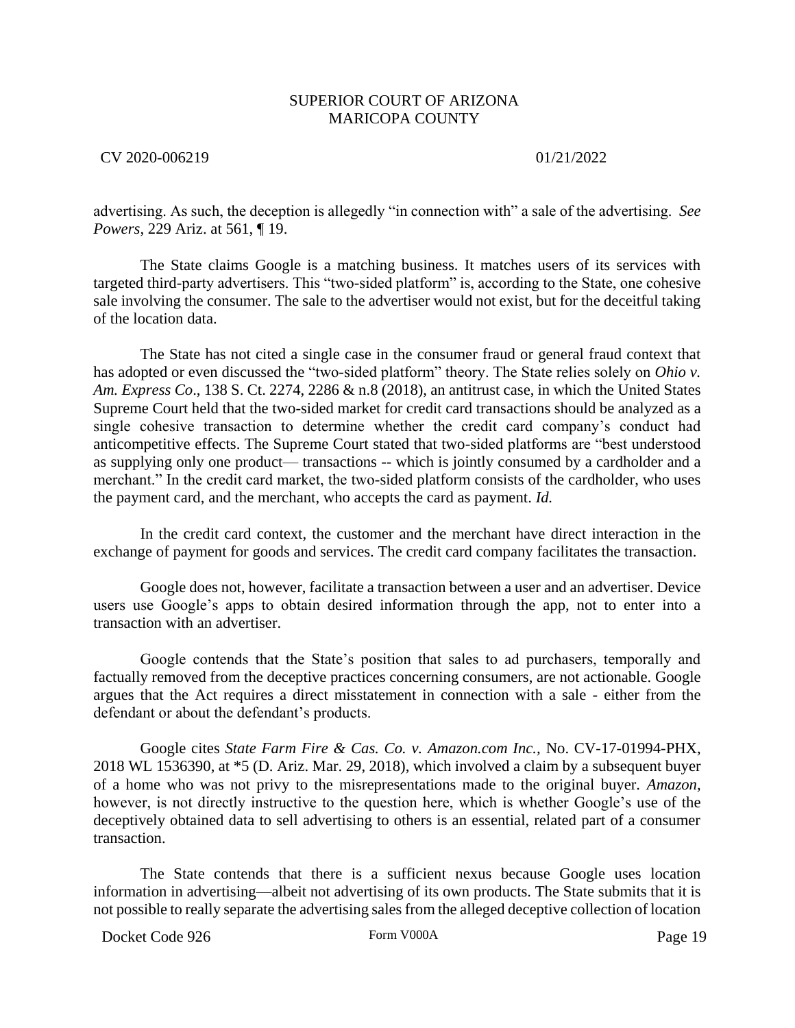CV 2020-006219 01/21/2022

advertising. As such, the deception is allegedly "in connection with" a sale of the advertising. *See Powers*, 229 Ariz. at 561, ¶ 19.

The State claims Google is a matching business. It matches users of its services with targeted third-party advertisers. This "two-sided platform" is, according to the State, one cohesive sale involving the consumer. The sale to the advertiser would not exist, but for the deceitful taking of the location data.

The State has not cited a single case in the consumer fraud or general fraud context that has adopted or even discussed the "two-sided platform" theory. The State relies solely on *Ohio v. Am. Express Co*., 138 S. Ct. 2274, 2286 & n.8 (2018), an antitrust case, in which the United States Supreme Court held that the two-sided market for credit card transactions should be analyzed as a single cohesive transaction to determine whether the credit card company's conduct had anticompetitive effects. The Supreme Court stated that two-sided platforms are "best understood as supplying only one product— transactions -- which is jointly consumed by a cardholder and a merchant." In the credit card market, the two-sided platform consists of the cardholder, who uses the payment card, and the merchant, who accepts the card as payment. *Id.*

In the credit card context, the customer and the merchant have direct interaction in the exchange of payment for goods and services. The credit card company facilitates the transaction.

Google does not, however, facilitate a transaction between a user and an advertiser. Device users use Google's apps to obtain desired information through the app, not to enter into a transaction with an advertiser.

Google contends that the State's position that sales to ad purchasers, temporally and factually removed from the deceptive practices concerning consumers, are not actionable. Google argues that the Act requires a direct misstatement in connection with a sale - either from the defendant or about the defendant's products.

Google cites *State Farm Fire & Cas. Co. v. Amazon.com Inc.,* No. CV-17-01994-PHX, 2018 WL 1536390, at \*5 (D. Ariz. Mar. 29, 2018), which involved a claim by a subsequent buyer of a home who was not privy to the misrepresentations made to the original buyer. *Amazon,* however, is not directly instructive to the question here, which is whether Google's use of the deceptively obtained data to sell advertising to others is an essential, related part of a consumer transaction.

The State contends that there is a sufficient nexus because Google uses location information in advertising—albeit not advertising of its own products. The State submits that it is not possible to really separate the advertising sales from the alleged deceptive collection of location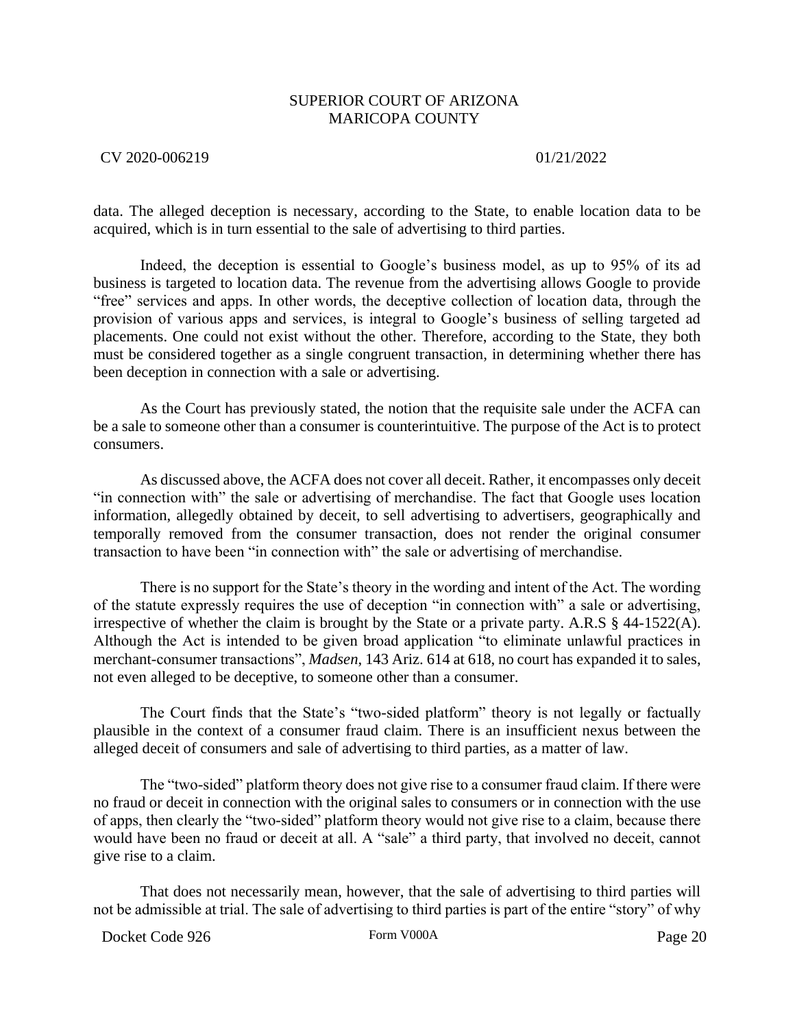### CV 2020-006219 01/21/2022

data. The alleged deception is necessary, according to the State, to enable location data to be acquired, which is in turn essential to the sale of advertising to third parties.

Indeed, the deception is essential to Google's business model, as up to 95% of its ad business is targeted to location data. The revenue from the advertising allows Google to provide "free" services and apps. In other words, the deceptive collection of location data, through the provision of various apps and services, is integral to Google's business of selling targeted ad placements. One could not exist without the other. Therefore, according to the State, they both must be considered together as a single congruent transaction, in determining whether there has been deception in connection with a sale or advertising.

As the Court has previously stated, the notion that the requisite sale under the ACFA can be a sale to someone other than a consumer is counterintuitive. The purpose of the Act is to protect consumers.

As discussed above, the ACFA does not cover all deceit. Rather, it encompasses only deceit "in connection with" the sale or advertising of merchandise. The fact that Google uses location information, allegedly obtained by deceit, to sell advertising to advertisers, geographically and temporally removed from the consumer transaction, does not render the original consumer transaction to have been "in connection with" the sale or advertising of merchandise.

There is no support for the State's theory in the wording and intent of the Act. The wording of the statute expressly requires the use of deception "in connection with" a sale or advertising, irrespective of whether the claim is brought by the State or a private party. A.R.S § 44-1522(A). Although the Act is intended to be given broad application "to eliminate unlawful practices in merchant-consumer transactions", *Madsen*, 143 Ariz. 614 at 618, no court has expanded it to sales, not even alleged to be deceptive, to someone other than a consumer.

The Court finds that the State's "two-sided platform" theory is not legally or factually plausible in the context of a consumer fraud claim. There is an insufficient nexus between the alleged deceit of consumers and sale of advertising to third parties, as a matter of law.

The "two-sided" platform theory does not give rise to a consumer fraud claim. If there were no fraud or deceit in connection with the original sales to consumers or in connection with the use of apps, then clearly the "two-sided" platform theory would not give rise to a claim, because there would have been no fraud or deceit at all. A "sale" a third party, that involved no deceit, cannot give rise to a claim.

That does not necessarily mean, however, that the sale of advertising to third parties will not be admissible at trial. The sale of advertising to third parties is part of the entire "story" of why